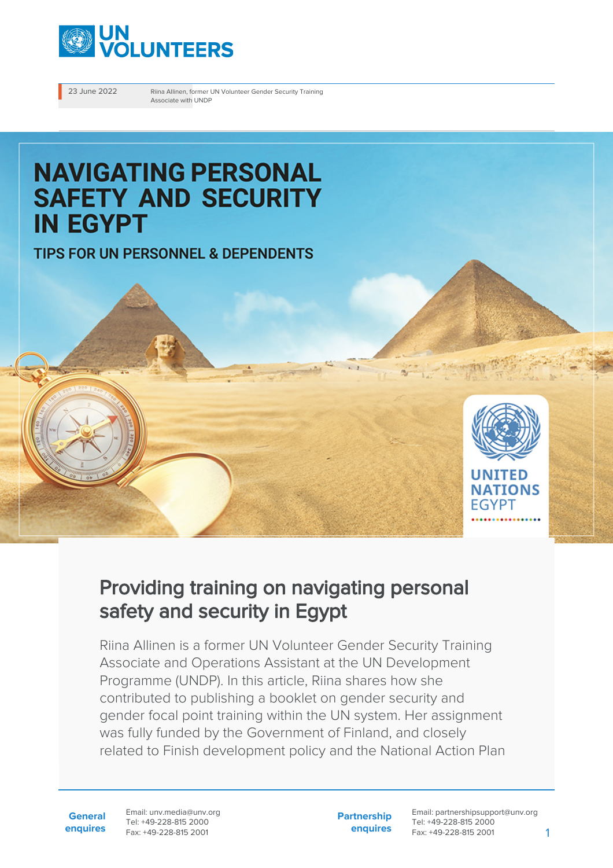

23 June 2022 Riina Allinen, former UN Volunteer Gender Security Training Associate with UNDP

# **NAVIGATING PERSONAL SAFETY AND SECURITY IN EGYPT**

TIPS FOR UN PERSONNEL & DEPENDENTS



# Providing training on navigating personal safety and security in Egypt

Riina Allinen is a former UN Volunteer Gender Security Training Associate and Operations Assistant at the UN Development Programme (UNDP). In this article, Riina shares how she contributed to publishing a booklet on gender security and gender focal point training within the UN system. Her assignment was fully funded by the Government of Finland, and closely related to Finish development policy and the National Action Plan

**General enquires** Email: unv.media@unv.org Tel: +49-228-815 2000 Fax: +49-228-815 2001

**Partnership enquires**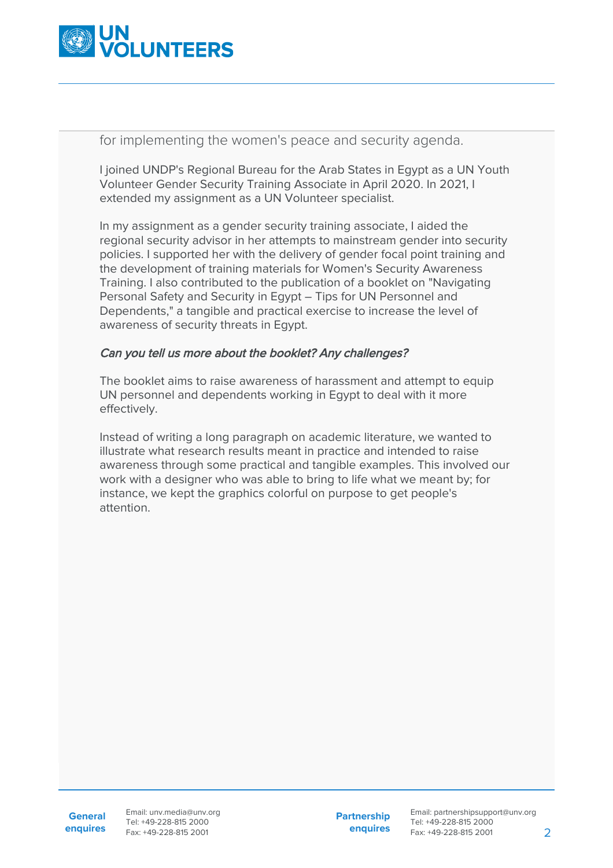

for implementing the women's peace and security agenda.

I joined UNDP's Regional Bureau for the Arab States in Egypt as a UN Youth Volunteer Gender Security Training Associate in April 2020. In 2021, I extended my assignment as a UN Volunteer specialist.

In my assignment as a gender security training associate, I aided the regional security advisor in her attempts to mainstream gender into security policies. I supported her with the delivery of gender focal point training and the development of training materials for Women's Security Awareness Training. I also contributed to the publication of a booklet on "Navigating Personal Safety and Security in Egypt – Tips for UN Personnel and Dependents," a tangible and practical exercise to increase the level of awareness of security threats in Egypt.

#### Can you tell us more about the booklet? Any challenges?

The booklet aims to raise awareness of harassment and attempt to equip UN personnel and dependents working in Egypt to deal with it more effectively.

Instead of writing a long paragraph on academic literature, we wanted to illustrate what research results meant in practice and intended to raise awareness through some practical and tangible examples. This involved our work with a designer who was able to bring to life what we meant by; for instance, we kept the graphics colorful on purpose to get people's attention.

**enquires** Tel: +49-228-815 2000 Fax: +49-228-815 2001 Email: unv.media@unv.org<br>Tel: +49-228-815 2000

**Partnership enquires**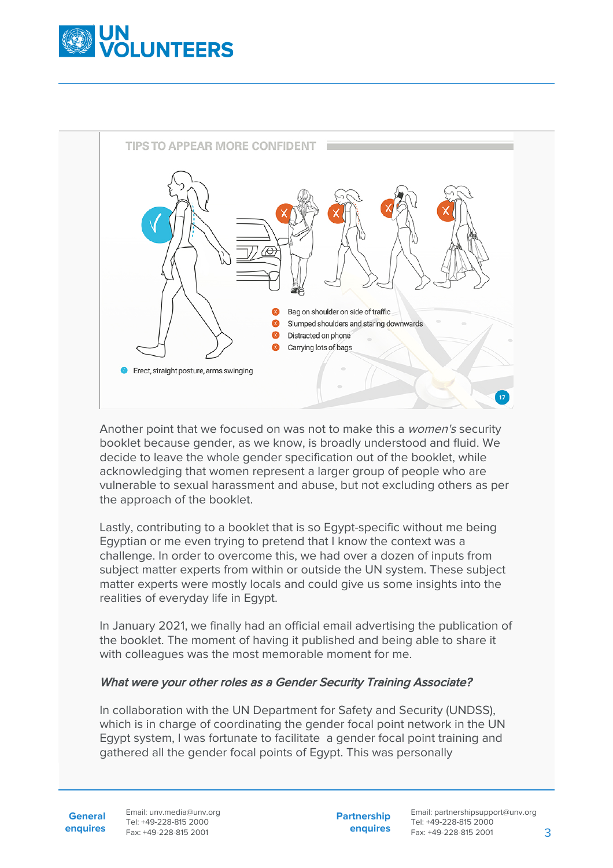



Another point that we focused on was not to make this a women's security booklet because gender, as we know, is broadly understood and fluid. We decide to leave the whole gender specification out of the booklet, while acknowledging that women represent a larger group of people who are vulnerable to sexual harassment and abuse, but not excluding others as per the approach of the booklet.

Lastly, contributing to a booklet that is so Egypt-specific without me being Egyptian or me even trying to pretend that I know the context was a challenge. In order to overcome this, we had over a dozen of inputs from subject matter experts from within or outside the UN system. These subject matter experts were mostly locals and could give us some insights into the realities of everyday life in Egypt.

In January 2021, we finally had an official email advertising the publication of the booklet. The moment of having it published and being able to share it with colleagues was the most memorable moment for me.

### What were your other roles as a Gender Security Training Associate?

In collaboration with the UN Department for Safety and Security (UNDSS), which is in charge of coordinating the gender focal point network in the UN Egypt system, I was fortunate to facilitate a gender focal point training and gathered all the gender focal points of Egypt. This was personally

**General enquires** Email: unv.media@unv.org Tel: +49-228-815 2000 Fax: +49-228-815 2001

**Partnership enquires**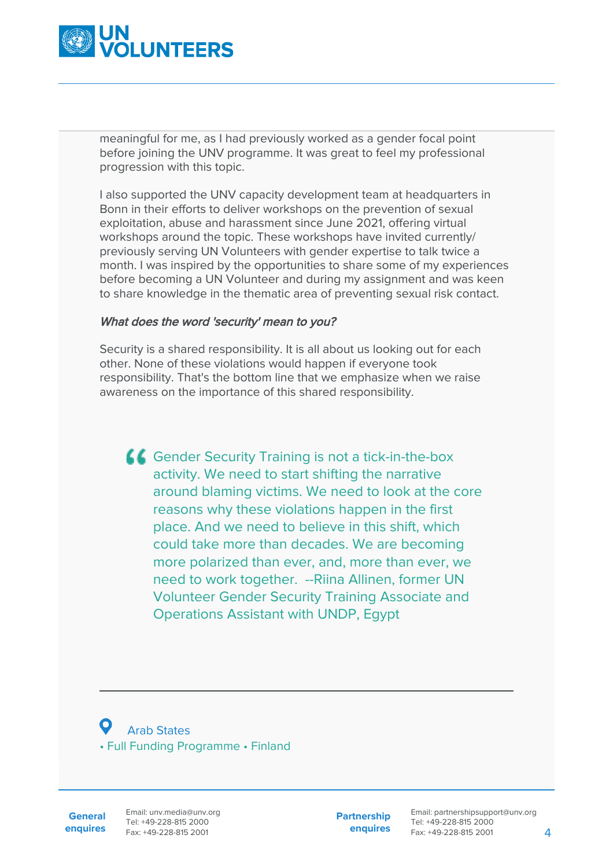

meaningful for me, as I had previously worked as a gender focal point before joining the UNV programme. It was great to feel my professional progression with this topic.

I also supported the UNV capacity development team at headquarters in Bonn in their efforts to deliver workshops on the prevention of sexual exploitation, abuse and harassment since June 2021, offering virtual workshops around the topic. These workshops have invited currently/ previously serving UN Volunteers with gender expertise to talk twice a month. I was inspired by the opportunities to share some of my experiences before becoming a UN Volunteer and during my assignment and was keen to share knowledge in the thematic area of preventing sexual risk contact.

## What does the word 'security' mean to you?

Security is a shared responsibility. It is all about us looking out for each other. None of these violations would happen if everyone took responsibility. That's the bottom line that we emphasize when we raise awareness on the importance of this shared responsibility.

Gender Security Training is not a tick-in-the-box activity. We need to start shifting the narrative around blaming victims. We need to look at the core reasons why these violations happen in the first place. And we need to believe in this shift, which could take more than decades. We are becoming more polarized than ever, and, more than ever, we need to work together. --Riina Allinen, former UN Volunteer Gender Security Training Associate and Operations Assistant with UNDP, Egypt

 Arab States • Full Funding Programme • Finland

**General enquires** Email: unv.media@unv.org Tel: +49-228-815 2000 Fax: +49-228-815 2001

**Partnership enquires**